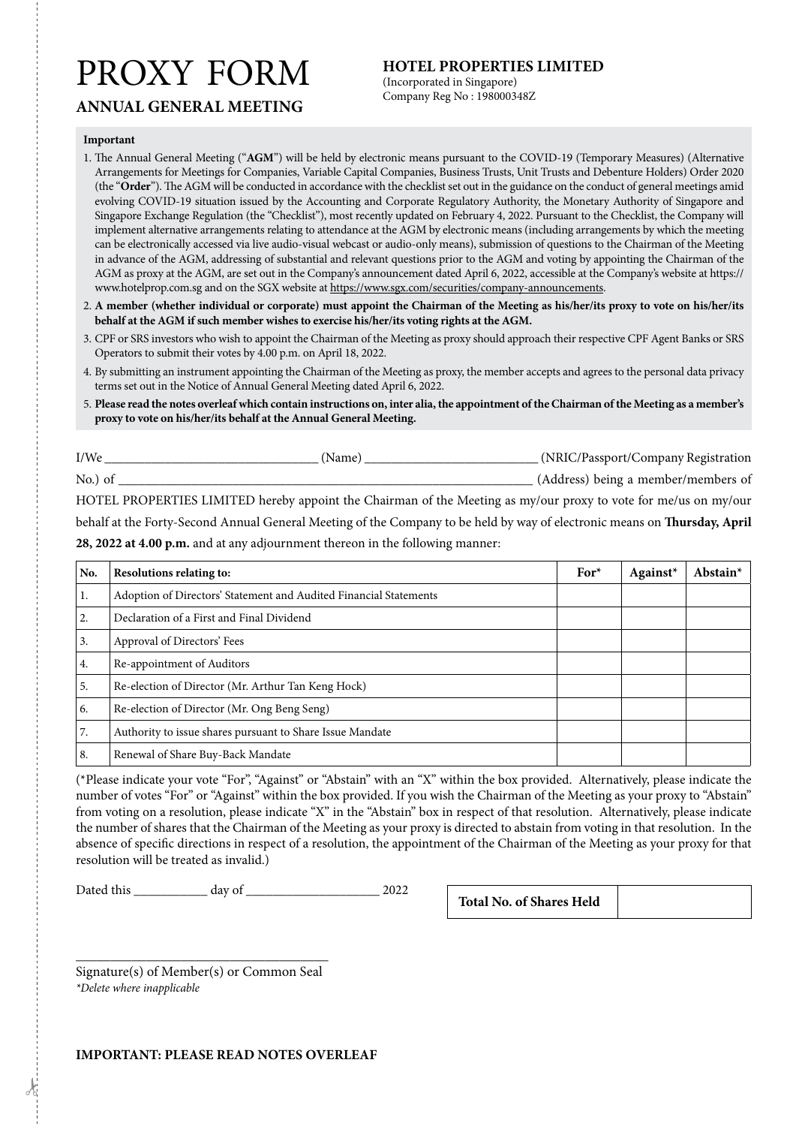# PROXY FORM

## **HOTEL PROPERTIES LIMITED**

(Incorporated in Singapore) Company Reg No : 198000348Z

# **ANNUAL GENERAL MEETING**

#### **Important**

- 1. The Annual General Meeting ("**AGM**") will be held by electronic means pursuant to the COVID-19 (Temporary Measures) (Alternative Arrangements for Meetings for Companies, Variable Capital Companies, Business Trusts, Unit Trusts and Debenture Holders) Order 2020 (the "**Order**"). The AGM will be conducted in accordance with the checklist set out in the guidance on the conduct of general meetings amid evolving COVID-19 situation issued by the Accounting and Corporate Regulatory Authority, the Monetary Authority of Singapore and Singapore Exchange Regulation (the "Checklist"), most recently updated on February 4, 2022. Pursuant to the Checklist, the Company will implement alternative arrangements relating to attendance at the AGM by electronic means (including arrangements by which the meeting can be electronically accessed via live audio-visual webcast or audio-only means), submission of questions to the Chairman of the Meeting in advance of the AGM, addressing of substantial and relevant questions prior to the AGM and voting by appointing the Chairman of the AGM as proxy at the AGM, are set out in the Company's announcement dated April 6, 2022, accessible at the Company's website at https:// www.hotelprop.com.sg and on the SGX website at https://www.sgx.com/securities/company-announcements.
- 2. **A member (whether individual or corporate) must appoint the Chairman of the Meeting as his/her/its proxy to vote on his/her/its behalf at the AGM if such member wishes to exercise his/her/its voting rights at the AGM.**
- 3. CPF or SRS investors who wish to appoint the Chairman of the Meeting as proxy should approach their respective CPF Agent Banks or SRS Operators to submit their votes by 4.00 p.m. on April 18, 2022.
- 4. By submitting an instrument appointing the Chairman of the Meeting as proxy, the member accepts and agrees to the personal data privacy terms set out in the Notice of Annual General Meeting dated April 6, 2022.
- 5. **Please read the notes overleaf which contain instructions on, inter alia, the appointment of the Chairman of the Meeting as a member's proxy to vote on his/her/its behalf at the Annual General Meeting.**

I/We \_\_\_\_\_\_\_\_\_\_\_\_\_\_\_\_\_\_\_\_\_\_\_\_\_\_\_\_\_\_\_\_ (Name) \_\_\_\_\_\_\_\_\_\_\_\_\_\_\_\_\_\_\_\_\_\_\_\_\_\_ (NRIC/Passport/Company Registration No.) of \_\_\_\_\_\_\_\_\_\_\_\_\_\_\_\_\_\_\_\_\_\_\_\_\_\_\_\_\_\_\_\_\_\_\_\_\_\_\_\_\_\_\_\_\_\_\_\_\_\_\_\_\_\_\_\_\_\_\_\_\_\_ (Address) being a member/members of

HOTEL PROPERTIES LIMITED hereby appoint the Chairman of the Meeting as my/our proxy to vote for me/us on my/our behalf at the Forty-Second Annual General Meeting of the Company to be held by way of electronic means on **Thursday, April 28, 2022 at 4.00 p.m.** and at any adjournment thereon in the following manner:

| No. | <b>Resolutions relating to:</b>                                   | $For*$ | Against* | Abstain $*$ |
|-----|-------------------------------------------------------------------|--------|----------|-------------|
| 1.  | Adoption of Directors' Statement and Audited Financial Statements |        |          |             |
| 2.  | Declaration of a First and Final Dividend                         |        |          |             |
| 3.  | Approval of Directors' Fees                                       |        |          |             |
| 4.  | Re-appointment of Auditors                                        |        |          |             |
| 5.  | Re-election of Director (Mr. Arthur Tan Keng Hock)                |        |          |             |
| 6.  | Re-election of Director (Mr. Ong Beng Seng)                       |        |          |             |
| 7.  | Authority to issue shares pursuant to Share Issue Mandate         |        |          |             |
| 8.  | Renewal of Share Buy-Back Mandate                                 |        |          |             |

(\*Please indicate your vote "For", "Against" or "Abstain" with an "X" within the box provided. Alternatively, please indicate the number of votes "For" or "Against" within the box provided. If you wish the Chairman of the Meeting as your proxy to "Abstain" from voting on a resolution, please indicate "X" in the "Abstain" box in respect of that resolution. Alternatively, please indicate the number of shares that the Chairman of the Meeting as your proxy is directed to abstain from voting in that resolution. In the absence of specific directions in respect of a resolution, the appointment of the Chairman of the Meeting as your proxy for that resolution will be treated as invalid.)

Dated this \_\_\_\_\_\_\_\_\_\_\_ day of \_\_\_\_\_\_\_\_\_\_\_\_\_\_\_\_\_\_\_\_ 2022 **Total No. of Shares Held**

*\_\_\_\_\_\_\_\_\_\_\_\_\_\_\_\_\_\_\_\_\_\_\_\_\_\_\_\_\_\_\_\_\_\_\_\_* Signature(s) of Member(s) or Common Seal *\*Delete where inapplicable*

#### **IMPORTANT: PLEASE READ NOTES OVERLEAF**